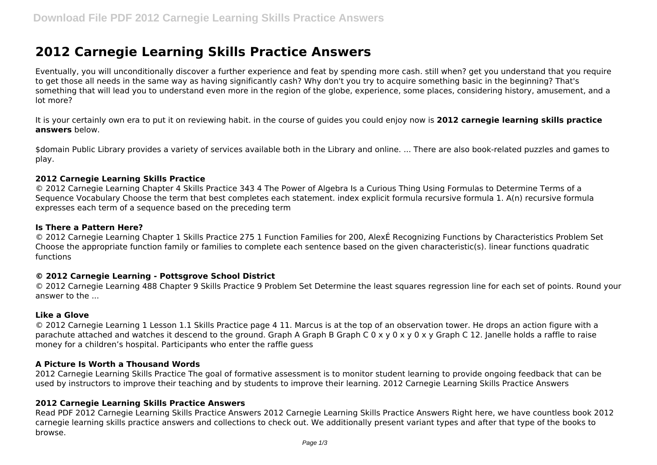# **2012 Carnegie Learning Skills Practice Answers**

Eventually, you will unconditionally discover a further experience and feat by spending more cash. still when? get you understand that you require to get those all needs in the same way as having significantly cash? Why don't you try to acquire something basic in the beginning? That's something that will lead you to understand even more in the region of the globe, experience, some places, considering history, amusement, and a lot more?

It is your certainly own era to put it on reviewing habit. in the course of guides you could enjoy now is **2012 carnegie learning skills practice answers** below.

\$domain Public Library provides a variety of services available both in the Library and online. ... There are also book-related puzzles and games to play.

#### **2012 Carnegie Learning Skills Practice**

© 2012 Carnegie Learning Chapter 4 Skills Practice 343 4 The Power of Algebra Is a Curious Thing Using Formulas to Determine Terms of a Sequence Vocabulary Choose the term that best completes each statement. index explicit formula recursive formula 1. A(n) recursive formula expresses each term of a sequence based on the preceding term

#### **Is There a Pattern Here?**

© 2012 Carnegie Learning Chapter 1 Skills Practice 275 1 Function Families for 200, AlexÉ Recognizing Functions by Characteristics Problem Set Choose the appropriate function family or families to complete each sentence based on the given characteristic(s). linear functions quadratic functions

#### **© 2012 Carnegie Learning - Pottsgrove School District**

© 2012 Carnegie Learning 488 Chapter 9 Skills Practice 9 Problem Set Determine the least squares regression line for each set of points. Round your answer to the ...

#### **Like a Glove**

© 2012 Carnegie Learning 1 Lesson 1.1 Skills Practice page 4 11. Marcus is at the top of an observation tower. He drops an action figure with a parachute attached and watches it descend to the ground. Graph A Graph B Graph C 0 x y 0 x y 0 x y Graph C 12. Janelle holds a raffle to raise money for a children's hospital. Participants who enter the raffle guess

## **A Picture Is Worth a Thousand Words**

2012 Carnegie Learning Skills Practice The goal of formative assessment is to monitor student learning to provide ongoing feedback that can be used by instructors to improve their teaching and by students to improve their learning. 2012 Carnegie Learning Skills Practice Answers

## **2012 Carnegie Learning Skills Practice Answers**

Read PDF 2012 Carnegie Learning Skills Practice Answers 2012 Carnegie Learning Skills Practice Answers Right here, we have countless book 2012 carnegie learning skills practice answers and collections to check out. We additionally present variant types and after that type of the books to browse.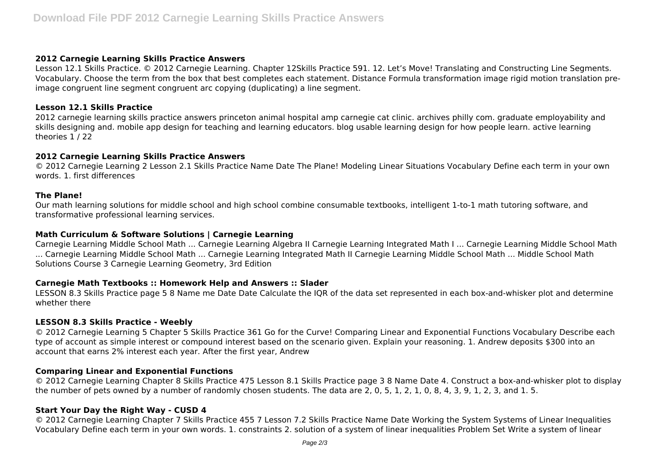#### **2012 Carnegie Learning Skills Practice Answers**

Lesson 12.1 Skills Practice. © 2012 Carnegie Learning. Chapter 12Skills Practice 591. 12. Let's Move! Translating and Constructing Line Segments. Vocabulary. Choose the term from the box that best completes each statement. Distance Formula transformation image rigid motion translation preimage congruent line segment congruent arc copying (duplicating) a line segment.

## **Lesson 12.1 Skills Practice**

2012 carnegie learning skills practice answers princeton animal hospital amp carnegie cat clinic. archives philly com. graduate employability and skills designing and. mobile app design for teaching and learning educators. blog usable learning design for how people learn. active learning theories 1 / 22

## **2012 Carnegie Learning Skills Practice Answers**

© 2012 Carnegie Learning 2 Lesson 2.1 Skills Practice Name Date The Plane! Modeling Linear Situations Vocabulary Define each term in your own words. 1. first differences

## **The Plane!**

Our math learning solutions for middle school and high school combine consumable textbooks, intelligent 1-to-1 math tutoring software, and transformative professional learning services.

## **Math Curriculum & Software Solutions | Carnegie Learning**

Carnegie Learning Middle School Math ... Carnegie Learning Algebra II Carnegie Learning Integrated Math I ... Carnegie Learning Middle School Math ... Carnegie Learning Middle School Math ... Carnegie Learning Integrated Math II Carnegie Learning Middle School Math ... Middle School Math Solutions Course 3 Carnegie Learning Geometry, 3rd Edition

## **Carnegie Math Textbooks :: Homework Help and Answers :: Slader**

LESSON 8.3 Skills Practice page 5 8 Name me Date Date Calculate the IQR of the data set represented in each box-and-whisker plot and determine whether there

## **LESSON 8.3 Skills Practice - Weebly**

© 2012 Carnegie Learning 5 Chapter 5 Skills Practice 361 Go for the Curve! Comparing Linear and Exponential Functions Vocabulary Describe each type of account as simple interest or compound interest based on the scenario given. Explain your reasoning. 1. Andrew deposits \$300 into an account that earns 2% interest each year. After the first year, Andrew

## **Comparing Linear and Exponential Functions**

© 2012 Carnegie Learning Chapter 8 Skills Practice 475 Lesson 8.1 Skills Practice page 3 8 Name Date 4. Construct a box-and-whisker plot to display the number of pets owned by a number of randomly chosen students. The data are 2, 0, 5, 1, 2, 1, 0, 8, 4, 3, 9, 1, 2, 3, and 1. 5.

## **Start Your Day the Right Way - CUSD 4**

© 2012 Carnegie Learning Chapter 7 Skills Practice 455 7 Lesson 7.2 Skills Practice Name Date Working the System Systems of Linear Inequalities Vocabulary Define each term in your own words. 1. constraints 2. solution of a system of linear inequalities Problem Set Write a system of linear